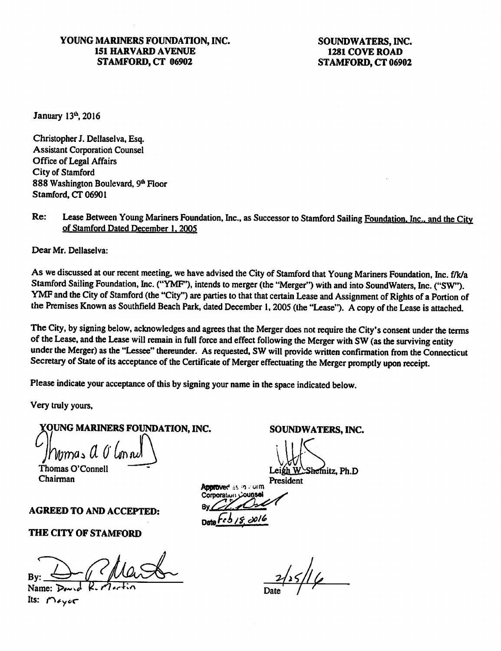### YOUNG MARINERS FOUNDATION, INC. 151 HARVARD AVENUE STAMFORD, CT 06902

SOUNDWATERS,INC. 1281 COVE ROAD STAMFORD, CT 06902

January  $13<sup>th</sup>$ , 2016

Christopher J. Dellaselva, Esq. **Assistant Corporation Counsel** Office of Legal Affairs City of Stamford 888 Washington Boulevard, 9th Floor Stamford, CT 06901

Re: Lease Between Young Mariners Foundation, Inc., as Successor to Stamford Sailing Foundation, Inc., and the City of Stamford Dated December 1.2005

Dear Mr. Dellaselva:

As we discussed at our recent meeting, we have advised the City of Stamford that Young Mariners Foundation, Inc. f/k/a Stamford Sailing Foundation, Inc. ("YMF"), intends to merger (the "Merger") with and into SoundWaters, Inc. ("SW"). YMF and the City of Stamford (the "City") are parties to that that certain Lease and Assignment of Rights of a Portion of the Premises Known as Southfield Beach Park, dated December 1, 2005 (the "Lease"). A copy of the Lease is attached.

The City, by signing below, acknowledges and agrees that the Merger does not require the City's consent under the terms of the Lease, and the Lease will remain in full force and effect following the Merger with SW (as the surviving entity under the Merger) as the "Lessee" thereunder. As requested. SW will provide written confirmation from the Connecticut Secretary of State of its acceptance of the Certificate of Merger effectuating the Merger promptly upon receipt.

Please indicate your acceptance of this by signing your name in the space indicated below.

Very truly yours,

YOUNG MARINERS FOUNDATION, INC.

 $\mu$   $\theta$ 

Thomas O'Connell Chairman

### AGREED TO AND ACCEPTED;

THE CITY OF STAMFORD

Name:  $\triangleright$ Its:  $M_{\star}$ 

SOUNDWATERS, INC.

Lei  $\bigvee$ Shemitz, Ph.D

President

Approved as in comm **Approved as in Function**<br>Corporation Counsel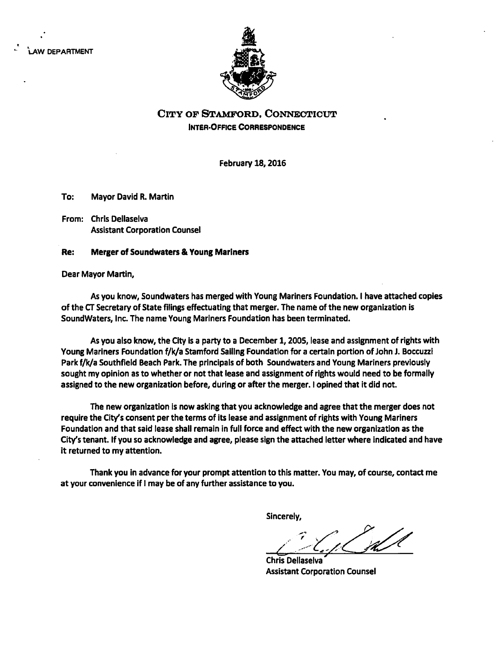law department



# City op Stamford, Connecticut Inter-Ofrce Correspondence

February 18,2016

To: Mayor David R. Martin

From: Chris Deilaselva Assistant Corporation Counsei

#### Re: Merger of Soundwaters & Young Mariners

Dear Mayor Martin,

As you know, Soundwaters has merged with Young Mariners Foundation. I have attached copies of the CT Secretary of State fiiings effectuating that merger. The name of the new organization is Soundwaters, Inc. The name Young Mariners Foundation has been terminated.

As you also know, the City is a party to a December 1,2005, lease and assignment of rights with Young Mariners Foundation f/k/a Stamford Sailing Foundation for a certain portion of John J. Boccuzzi Park f/k/a Southfieid Beach Park. The principals of both Soundwaters and Young Mariners previously sought my opinion as to whether or not that lease and assignment of rights would need to be formally assigned to the new organization before, during or after the merger. I opined that it did not.

The new organization is now asking that you acknowledge and agree that the merger does not require the City's consent per the terms of its lease and assignment of rights with Young Mariners Foundation and that said lease shall remain in full force and effect with the new organization as the City's tenant. If you so acknowledge and agree, please sign the attached letter where indicated and have it returned to my attention.

Thank you in advance for your prompt attention to this matter. You may, of course, contact me at your convenience if i may be of any further assistance to you.

Sincerely,

Chris Deilaselva Assistant Corporation Counsel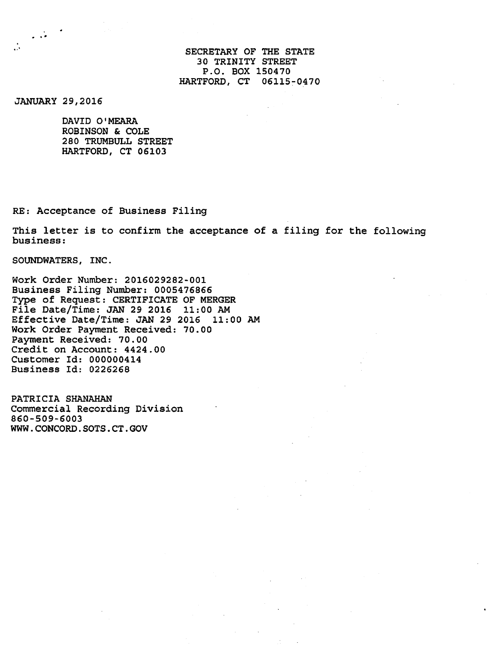### SECRETARY OF THE STATE 30 TRINITY STREET P.O. BOX 150470 HARTFORD, CT 06115-0470

JANUARY 29,2016

 $\frac{1}{2}$  ,  $\frac{1}{2}$ 

∴

DAVID O'MEARA ROBINSON & COLE 280 TRUMBULL STREET HARTFORD, CT 06103

RE: Acceptance of Business Filing

This letter is to confirm the acceptance of a filing for the following business:

SOUNDWATERS, INC.

Work Order Number: 2016029282-001 Business Filing Number: 0005476866 Type of Request: CERTIFICATE OF MERGER File Date/Time: JAN 29 2016 11:00 AM Effective Date/Time: JAN 29 2016 11:00 AM Work Order Payment Received: 70.00 Payment Received: 70.00 Credit on Account: 4424.00 Customer Id: 000000414 Business Id: 0226268

PATRICIA SHANAHAN Commercial Recording Division 860-509-6003 WWW.CONCORD.SOTS.CT.GOV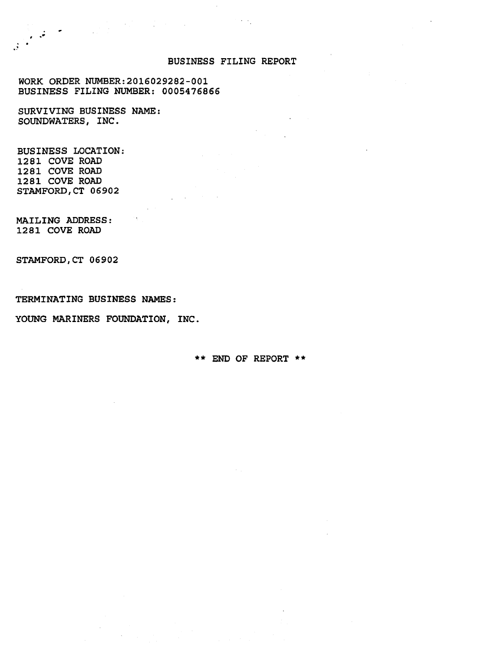#### BUSINESS FILING REPORT

WORK ORDER NUMBER:2016029282-001 BUSINESS FILING NUMBER: 0005476866

 $\mathcal{L}^{\mathcal{L}}(\mathcal{L}^{\mathcal{L}})$  and  $\mathcal{L}^{\mathcal{L}}(\mathcal{L}^{\mathcal{L}})$  . The contribution of  $\mathcal{L}^{\mathcal{L}}$ 

SURVIVING BUSINESS NAME: SOUNDWATERS, INC.

BUSINESS LOCATION; 1281 COVE ROAD 1281 COVE ROAD 1281 COVE ROAD STAMFORD, CT 06902

MAILING ADDRESS: 1281 COVE ROAD

STAMFORD, CT 06902

TERMINATING BUSINESS NAMES:

YOUNG MARINERS FOUNDATION, INC.

\*\* END OF REPORT \*\*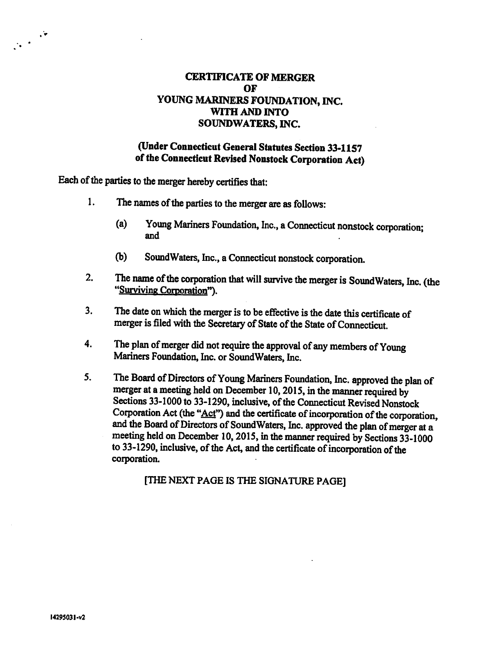# CERTIFICATE OF MERGER OF YOUNG MARINERS FOUNDATION, INC. WITH AND INTO SOUNDWATERS, INC.

# (Under Connecticut General Statutes Section 33-1157 of the Connecticut Revised Nonstock Corporation Act)

Each of the parties to the merger hereby certifies that:

- 1. The names of the parties to the merger are as follows:
	- (a) Young Mariners Foundation, Inc., a Connecticut nonstock corporation; and
	- (b) SoundWaters, Inc., a Connecticut nonstock corporation.
- 2. The name of the corporation that will survive the merger is SoundWaters, Inc. (the "Surviving Corporation").
- 3. The date on which the merger is to be effective is the date this certificate of merger is filed with the Secretary of State of the State of Connecticut.
- 4. The plan of merger did not require the approval of any members of Young Mariners Foundation, Inc. or SoundWaters, Inc.
- 5. The Board of Directors of Young Mariners Foundation, Inc. approved the plan of merger at a meeting held on December 10,2015, in the manner required by Sections 33-1000 to 33-1290, inclusive, of the Connecticut Revised Nonstock Corporation Act (the "Act") and the certificate of incorporation of the corporation, and the Board of Directors of SoundWaters, Inc. approved the plan of merger at a meeting held on December 10, 2015, in the manner required by Sections 33-1000 to 33-1290, inclusive, of the Act, and the certificate of incorporation of the corporation.

[THE NEXT PAGE IS THE SIGNATURE PAGE]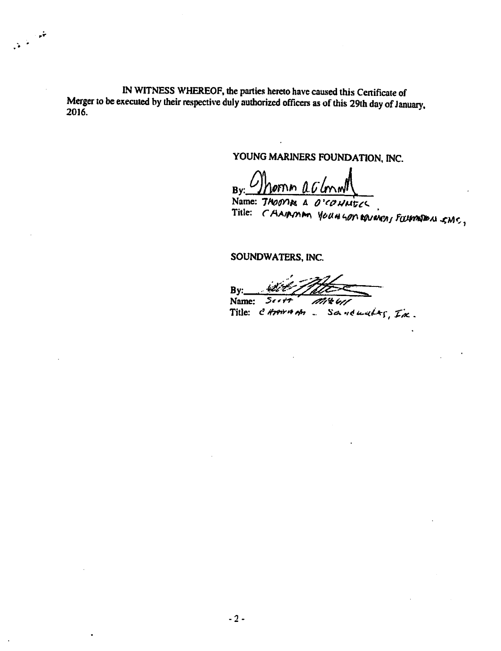IN WITNESS WHEREOF, the parties hereto have caused this Cenificate of Merger to be executed by their respective duly authorized officers as of this 29th day of January, 2016.

تغور

 $\mathcal{N}^{\frac{1}{2}}$ 

YOUNG MARINERS FOUNDATION, INC.

Bv: .OFN.M

Name: THOOTING A O'CONNECC Title: CAAIRMAN YOUNGON ARVERENT FOURMEDU SMC,

SOUNDWATERS, INC.

 $By:$ Name: Seett

Name: Seett Mittle!